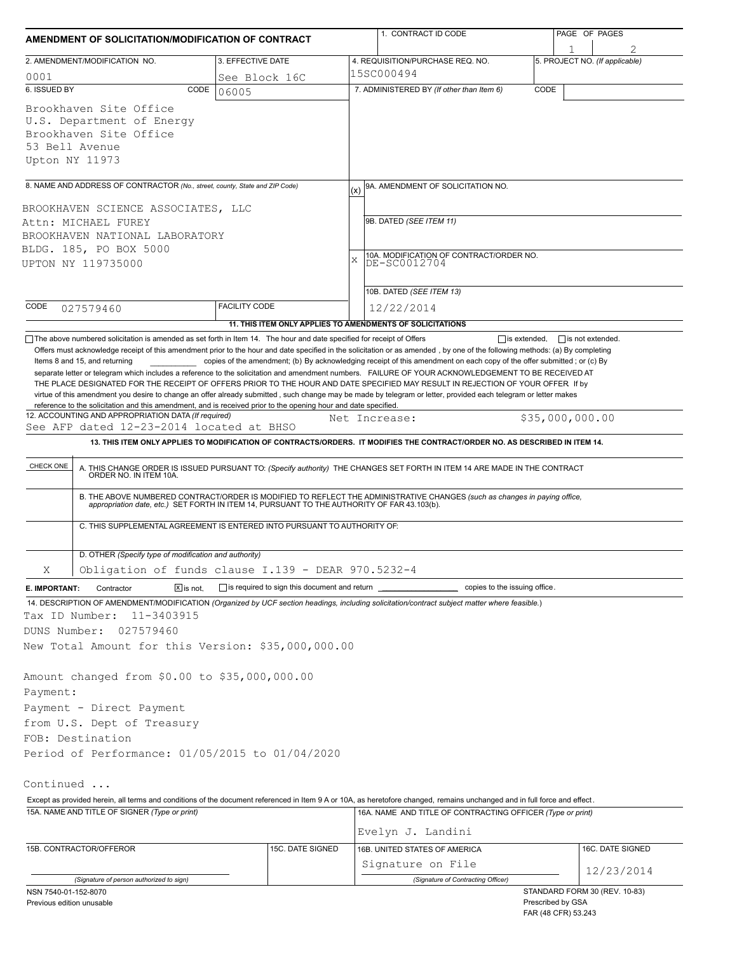| AMENDMENT OF SOLICITATION/MODIFICATION OF CONTRACT                                                                                                                                                                                                                                                                                                                                                                                                                                                                                                                                                                                                                              |                                                                                   |               | 1. CONTRACT ID CODE                                                                                                                                                                                                   |      |                   | PAGE OF PAGES                  |  |  |
|---------------------------------------------------------------------------------------------------------------------------------------------------------------------------------------------------------------------------------------------------------------------------------------------------------------------------------------------------------------------------------------------------------------------------------------------------------------------------------------------------------------------------------------------------------------------------------------------------------------------------------------------------------------------------------|-----------------------------------------------------------------------------------|---------------|-----------------------------------------------------------------------------------------------------------------------------------------------------------------------------------------------------------------------|------|-------------------|--------------------------------|--|--|
| 2. AMENDMENT/MODIFICATION NO.                                                                                                                                                                                                                                                                                                                                                                                                                                                                                                                                                                                                                                                   | 3. EFFECTIVE DATE                                                                 |               | 4. REQUISITION/PURCHASE REQ. NO.                                                                                                                                                                                      |      |                   | 5. PROJECT NO. (If applicable) |  |  |
| 0001                                                                                                                                                                                                                                                                                                                                                                                                                                                                                                                                                                                                                                                                            | See Block 16C                                                                     |               | 15SC000494                                                                                                                                                                                                            |      |                   |                                |  |  |
| 6. ISSUED BY<br>CODE                                                                                                                                                                                                                                                                                                                                                                                                                                                                                                                                                                                                                                                            | 06005                                                                             |               | 7. ADMINISTERED BY (If other than Item 6)                                                                                                                                                                             | CODE |                   |                                |  |  |
| Brookhaven Site Office<br>U.S. Department of Energy<br>Brookhaven Site Office<br>53 Bell Avenue<br>Upton NY 11973                                                                                                                                                                                                                                                                                                                                                                                                                                                                                                                                                               |                                                                                   |               |                                                                                                                                                                                                                       |      |                   |                                |  |  |
| 8. NAME AND ADDRESS OF CONTRACTOR (No., street, county, State and ZIP Code)                                                                                                                                                                                                                                                                                                                                                                                                                                                                                                                                                                                                     |                                                                                   | (x)           | 9A. AMENDMENT OF SOLICITATION NO.                                                                                                                                                                                     |      |                   |                                |  |  |
| BROOKHAVEN SCIENCE ASSOCIATES, LLC<br>Attn: MICHAEL FUREY<br>BROOKHAVEN NATIONAL LABORATORY<br>BLDG. 185, PO BOX 5000<br>UPTON NY 119735000                                                                                                                                                                                                                                                                                                                                                                                                                                                                                                                                     |                                                                                   |               | 9B. DATED (SEE ITEM 11)<br>10A. MODIFICATION OF CONTRACT/ORDER NO.<br>DE-SC0012704<br>$\bar{x}$                                                                                                                       |      |                   |                                |  |  |
|                                                                                                                                                                                                                                                                                                                                                                                                                                                                                                                                                                                                                                                                                 |                                                                                   |               | 10B. DATED (SEE ITEM 13)                                                                                                                                                                                              |      |                   |                                |  |  |
| CODE<br>027579460                                                                                                                                                                                                                                                                                                                                                                                                                                                                                                                                                                                                                                                               | <b>FACILITY CODE</b><br>11. THIS ITEM ONLY APPLIES TO AMENDMENTS OF SOLICITATIONS |               | 12/22/2014                                                                                                                                                                                                            |      |                   |                                |  |  |
| separate letter or telegram which includes a reference to the solicitation and amendment numbers. FAILURE OF YOUR ACKNOWLEDGEMENT TO BE RECEIVED AT<br>THE PLACE DESIGNATED FOR THE RECEIPT OF OFFERS PRIOR TO THE HOUR AND DATE SPECIFIED MAY RESULT IN REJECTION OF YOUR OFFER If by<br>virtue of this amendment you desire to change an offer already submitted, such change may be made by telegram or letter, provided each telegram or letter makes<br>reference to the solicitation and this amendment, and is received prior to the opening hour and date specified.<br>12. ACCOUNTING AND APPROPRIATION DATA (If required)<br>See AFP dated 12-23-2014 located at BHSO |                                                                                   | Net Increase: |                                                                                                                                                                                                                       |      | \$35,000,000.00   |                                |  |  |
|                                                                                                                                                                                                                                                                                                                                                                                                                                                                                                                                                                                                                                                                                 |                                                                                   |               | 13. THIS ITEM ONLY APPLIES TO MODIFICATION OF CONTRACTS/ORDERS. IT MODIFIES THE CONTRACT/ORDER NO. AS DESCRIBED IN ITEM 14.                                                                                           |      |                   |                                |  |  |
| CHECK ONE                                                                                                                                                                                                                                                                                                                                                                                                                                                                                                                                                                                                                                                                       |                                                                                   |               | A. THIS CHANGE ORDER IS ISSUED PURSUANT TO: (Specify authority) THE CHANGES SET FORTH IN ITEM 14 ARE MADE IN THE CONTRACT ORDER NO. IN ITEM 10A.                                                                      |      |                   |                                |  |  |
|                                                                                                                                                                                                                                                                                                                                                                                                                                                                                                                                                                                                                                                                                 |                                                                                   |               | B. THE ABOVE NUMBERED CONTRACT/ORDER IS MODIFIED TO REFLECT THE ADMINISTRATIVE CHANGES (such as changes in paying office, appropriation date, etc.) SET FORTH IN ITEM 14, PURSUANT TO THE AUTHORITY OF FAR 43.103(b). |      |                   |                                |  |  |
| C. THIS SUPPLEMENTAL AGREEMENT IS ENTERED INTO PURSUANT TO AUTHORITY OF:                                                                                                                                                                                                                                                                                                                                                                                                                                                                                                                                                                                                        |                                                                                   |               |                                                                                                                                                                                                                       |      |                   |                                |  |  |
| D. OTHER (Specify type of modification and authority)<br>Obligation of funds clause I.139 - DEAR 970.5232-4<br>Χ                                                                                                                                                                                                                                                                                                                                                                                                                                                                                                                                                                |                                                                                   |               |                                                                                                                                                                                                                       |      |                   |                                |  |  |
| Contractor<br>$X$ is not.<br>E. IMPORTANT:                                                                                                                                                                                                                                                                                                                                                                                                                                                                                                                                                                                                                                      |                                                                                   |               |                                                                                                                                                                                                                       |      |                   |                                |  |  |
| 14. DESCRIPTION OF AMENDMENT/MODIFICATION (Organized by UCF section headings, including solicitation/contract subject matter where feasible.)<br>Tax ID Number:<br>11-3403915<br>DUNS Number:<br>027579460<br>New Total Amount for this Version: \$35,000,000.00                                                                                                                                                                                                                                                                                                                                                                                                                |                                                                                   |               |                                                                                                                                                                                                                       |      |                   |                                |  |  |
| Amount changed from \$0.00 to \$35,000,000.00<br>Payment:<br>Payment - Direct Payment<br>from U.S. Dept of Treasury<br>FOB: Destination<br>Period of Performance: 01/05/2015 to 01/04/2020                                                                                                                                                                                                                                                                                                                                                                                                                                                                                      |                                                                                   |               |                                                                                                                                                                                                                       |      |                   |                                |  |  |
|                                                                                                                                                                                                                                                                                                                                                                                                                                                                                                                                                                                                                                                                                 |                                                                                   |               |                                                                                                                                                                                                                       |      |                   |                                |  |  |
| Continued                                                                                                                                                                                                                                                                                                                                                                                                                                                                                                                                                                                                                                                                       |                                                                                   |               |                                                                                                                                                                                                                       |      |                   |                                |  |  |
| Except as provided herein, all terms and conditions of the document referenced in Item 9 A or 10A, as heretofore changed, remains unchanged and in full force and effect.<br>15A. NAME AND TITLE OF SIGNER (Type or print)                                                                                                                                                                                                                                                                                                                                                                                                                                                      |                                                                                   |               | 16A. NAME AND TITLE OF CONTRACTING OFFICER (Type or print)                                                                                                                                                            |      |                   |                                |  |  |
|                                                                                                                                                                                                                                                                                                                                                                                                                                                                                                                                                                                                                                                                                 |                                                                                   |               | Evelyn J. Landini                                                                                                                                                                                                     |      |                   |                                |  |  |
| 15B. CONTRACTOR/OFFEROR                                                                                                                                                                                                                                                                                                                                                                                                                                                                                                                                                                                                                                                         | 15C. DATE SIGNED                                                                  |               | 16B. UNITED STATES OF AMERICA                                                                                                                                                                                         |      |                   | 16C. DATE SIGNED               |  |  |
|                                                                                                                                                                                                                                                                                                                                                                                                                                                                                                                                                                                                                                                                                 |                                                                                   |               | Signature on File                                                                                                                                                                                                     |      |                   |                                |  |  |
| (Signature of person authorized to sign)                                                                                                                                                                                                                                                                                                                                                                                                                                                                                                                                                                                                                                        |                                                                                   |               | (Signature of Contracting Officer)                                                                                                                                                                                    |      |                   | 12/23/2014                     |  |  |
| NSN 7540-01-152-8070<br>Previous edition unusable                                                                                                                                                                                                                                                                                                                                                                                                                                                                                                                                                                                                                               |                                                                                   |               |                                                                                                                                                                                                                       |      | Prescribed by GSA | STANDARD FORM 30 (REV. 10-83)  |  |  |

FAR (48 CFR) 53.243